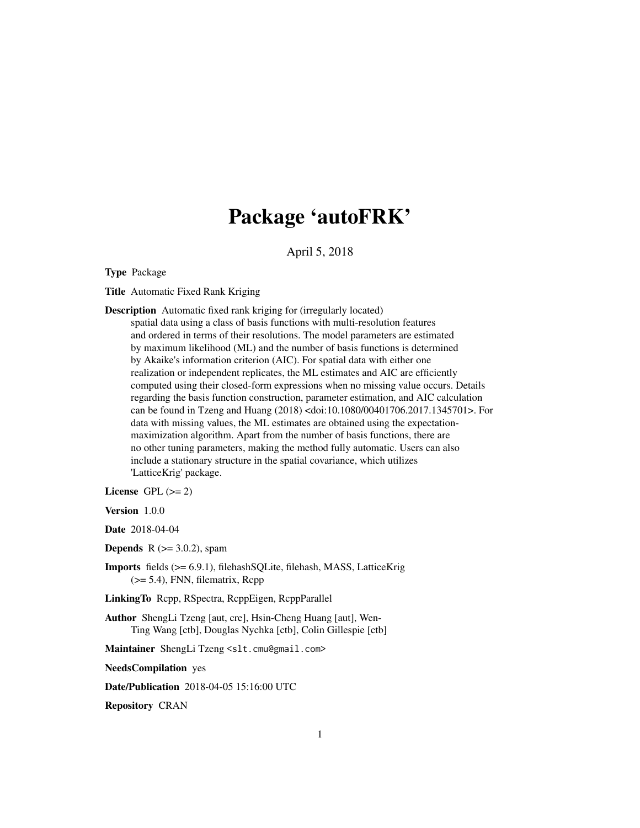## Package 'autoFRK'

April 5, 2018

Type Package

Title Automatic Fixed Rank Kriging

Description Automatic fixed rank kriging for (irregularly located)

spatial data using a class of basis functions with multi-resolution features and ordered in terms of their resolutions. The model parameters are estimated by maximum likelihood (ML) and the number of basis functions is determined by Akaike's information criterion (AIC). For spatial data with either one realization or independent replicates, the ML estimates and AIC are efficiently computed using their closed-form expressions when no missing value occurs. Details regarding the basis function construction, parameter estimation, and AIC calculation can be found in Tzeng and Huang (2018) <doi:10.1080/00401706.2017.1345701>. For data with missing values, the ML estimates are obtained using the expectationmaximization algorithm. Apart from the number of basis functions, there are no other tuning parameters, making the method fully automatic. Users can also include a stationary structure in the spatial covariance, which utilizes 'LatticeKrig' package.

License GPL  $(>= 2)$ 

Version 1.0.0

Date 2018-04-04

**Depends** R  $(>= 3.0.2)$ , spam

Imports fields (>= 6.9.1), filehashSQLite, filehash, MASS, LatticeKrig (>= 5.4), FNN, filematrix, Rcpp

LinkingTo Rcpp, RSpectra, RcppEigen, RcppParallel

Author ShengLi Tzeng [aut, cre], Hsin-Cheng Huang [aut], Wen-Ting Wang [ctb], Douglas Nychka [ctb], Colin Gillespie [ctb]

Maintainer ShengLi Tzeng <slt.cmu@gmail.com>

NeedsCompilation yes

Date/Publication 2018-04-05 15:16:00 UTC

Repository CRAN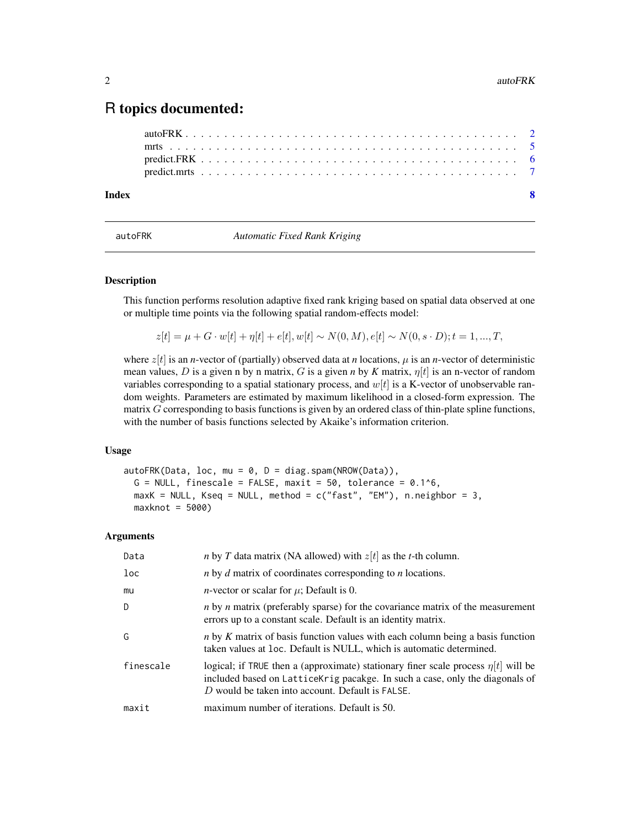### <span id="page-1-0"></span>R topics documented:

| Index |  |  |  |  |  |  |  |  |  |  |  |  |  |  |  |  |  |  |  |  | $\overline{\mathbf{S}}$ |
|-------|--|--|--|--|--|--|--|--|--|--|--|--|--|--|--|--|--|--|--|--|-------------------------|
|       |  |  |  |  |  |  |  |  |  |  |  |  |  |  |  |  |  |  |  |  |                         |
|       |  |  |  |  |  |  |  |  |  |  |  |  |  |  |  |  |  |  |  |  |                         |
|       |  |  |  |  |  |  |  |  |  |  |  |  |  |  |  |  |  |  |  |  |                         |
|       |  |  |  |  |  |  |  |  |  |  |  |  |  |  |  |  |  |  |  |  |                         |

<span id="page-1-1"></span>autoFRK *Automatic Fixed Rank Kriging*

#### Description

This function performs resolution adaptive fixed rank kriging based on spatial data observed at one or multiple time points via the following spatial random-effects model:

 $z[t] = \mu + G \cdot w[t] + \eta[t] + e[t], w[t] \sim N(0, M), e[t] \sim N(0, s \cdot D); t = 1, ..., T,$ 

where  $z[t]$  is an *n*-vector of (partially) observed data at *n* locations,  $\mu$  is an *n*-vector of deterministic mean values, D is a given n by n matrix, G is a given *n* by K matrix,  $\eta[t]$  is an n-vector of random variables corresponding to a spatial stationary process, and  $w[t]$  is a K-vector of unobservable random weights. Parameters are estimated by maximum likelihood in a closed-form expression. The matrix G corresponding to basis functions is given by an ordered class of thin-plate spline functions, with the number of basis functions selected by Akaike's information criterion.

#### Usage

```
autoFRK(Data, loc, mu = 0, D = diag.spam(NROW(Data)),
 G = NULL, finescale = FALSE, maxit = 50, tolerance = 0.1^6,
 maxK = NULL, Kseq = NULL, method = c("fast", "EM"), n.neighbor = 3,
 maxknot = 5000
```
#### Arguments

| Data      | <i>n</i> by <i>T</i> data matrix (NA allowed) with $z[t]$ as the <i>t</i> -th column.                                                                                                                                       |
|-----------|-----------------------------------------------------------------------------------------------------------------------------------------------------------------------------------------------------------------------------|
| $1$ oc    | $n$ by $d$ matrix of coordinates corresponding to $n$ locations.                                                                                                                                                            |
| mu        | <i>n</i> -vector or scalar for $\mu$ ; Default is 0.                                                                                                                                                                        |
| D         | <i>n</i> by <i>n</i> matrix (preferably sparse) for the covariance matrix of the measurement<br>errors up to a constant scale. Default is an identity matrix.                                                               |
| G         | <i>n</i> by <i>K</i> matrix of basis function values with each column being a basis function<br>taken values at loc. Default is NULL, which is automatic determined.                                                        |
| finescale | logical; if TRUE then a (approximate) stationary finer scale process $\eta[t]$ will be<br>included based on Lattice Krig pacakge. In such a case, only the diagonals of<br>D would be taken into account. Default is FALSE. |
| maxit     | maximum number of iterations. Default is 50.                                                                                                                                                                                |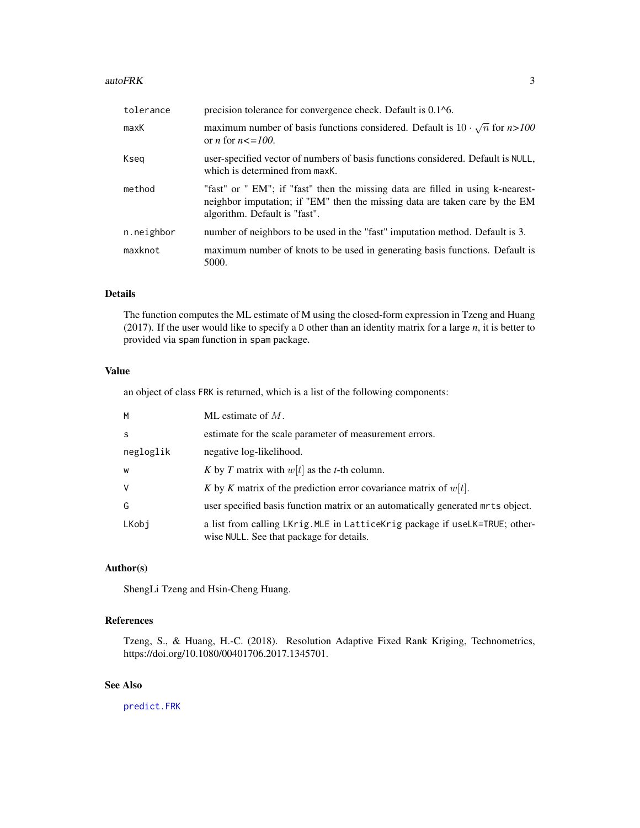#### <span id="page-2-0"></span>autoFRK 3

| tolerance  | precision tolerance for convergence check. Default is 0.1 <sup>1</sup> 6.                                                                                                                       |
|------------|-------------------------------------------------------------------------------------------------------------------------------------------------------------------------------------------------|
| maxK       | maximum number of basis functions considered. Default is $10 \cdot \sqrt{n}$ for $n > 100$<br>or <i>n</i> for $n \leq 100$ .                                                                    |
| Kseg       | user-specified vector of numbers of basis functions considered. Default is NULL,<br>which is determined from maxK.                                                                              |
| method     | "fast" or " EM"; if "fast" then the missing data are filled in using k-nearest-<br>neighbor imputation; if "EM" then the missing data are taken care by the EM<br>algorithm. Default is "fast". |
| n.neighbor | number of neighbors to be used in the "fast" imputation method. Default is 3.                                                                                                                   |
| maxknot    | maximum number of knots to be used in generating basis functions. Default is<br>5000.                                                                                                           |

#### Details

The function computes the ML estimate of M using the closed-form expression in Tzeng and Huang (2017). If the user would like to specify a D other than an identity matrix for a large *n*, it is better to provided via spam function in spam package.

#### Value

an object of class FRK is returned, which is a list of the following components:

| M         | ML estimate of $M$ .                                                                                                    |
|-----------|-------------------------------------------------------------------------------------------------------------------------|
| S         | estimate for the scale parameter of measurement errors.                                                                 |
| negloglik | negative log-likelihood.                                                                                                |
| W         | K by T matrix with $w[t]$ as the t-th column.                                                                           |
| V         | K by K matrix of the prediction error covariance matrix of $w[t]$ .                                                     |
| G         | user specified basis function matrix or an automatically generated mrts object.                                         |
| LKobj     | a list from calling LKrig. MLE in LatticeKrig package if useLK=TRUE; other-<br>wise NULL. See that package for details. |

#### Author(s)

ShengLi Tzeng and Hsin-Cheng Huang.

#### References

Tzeng, S., & Huang, H.-C. (2018). Resolution Adaptive Fixed Rank Kriging, Technometrics, https://doi.org/10.1080/00401706.2017.1345701.

#### See Also

[predict.FRK](#page-5-1)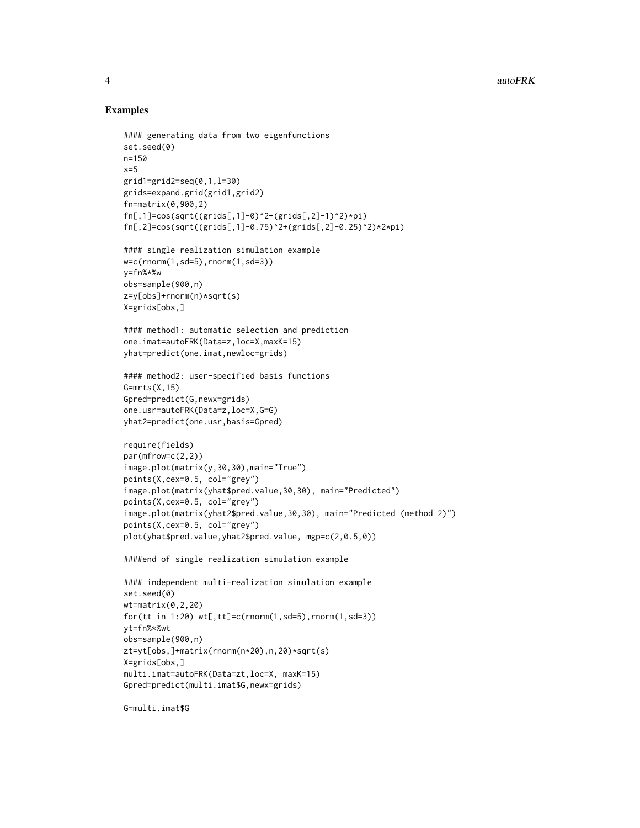#### Examples

```
#### generating data from two eigenfunctions
set.seed(0)
n=150
s=5grid1=grid2=seq(0,1,l=30)
grids=expand.grid(grid1,grid2)
fn=matrix(0,900,2)
fn[,1]=cos(sqrt((grids[,1]-0)^2+(grids[,2]-1)^2)*pi)fn[,2]=cos(sqrt((grids[,1]-0.75)^2+(grids[,2]-0.25)^2)*2*pi)
#### single realization simulation example
w=c(rnorm(1,sd=5),rnorm(1,sd=3))
y=fn%*%w
obs=sample(900,n)
z=y[obs]+rnorm(n)*sqrt(s)
X=grids[obs,]
#### method1: automatic selection and prediction
one.imat=autoFRK(Data=z,loc=X,maxK=15)
yhat=predict(one.imat,newloc=grids)
#### method2: user-specified basis functions
G=mrts(X,15)
Gpred=predict(G,newx=grids)
one.usr=autoFRK(Data=z,loc=X,G=G)
yhat2=predict(one.usr,basis=Gpred)
require(fields)
par(mfrow=c(2,2))
image.plot(matrix(y,30,30),main="True")
points(X,cex=0.5, col="grey")
image.plot(matrix(yhat$pred.value,30,30), main="Predicted")
points(X,cex=0.5, col="grey")
image.plot(matrix(yhat2$pred.value,30,30), main="Predicted (method 2)")
points(X,cex=0.5, col="grey")
plot(yhat$pred.value,yhat2$pred.value, mgp=c(2,0.5,0))
####end of single realization simulation example
#### independent multi-realization simulation example
set.seed(0)
wt = matrix(0, 2, 20)for(tt in 1:20) wt[,tt]=c(rnorm(1,sd=5),rnorm(1,sd=3))
yt=fn%*%wt
obs=sample(900,n)
zt=yt[obs,]+matrix(rnorm(n*20),n,20)*sqrt(s)
X=grids[obs,]
multi.imat=autoFRK(Data=zt,loc=X, maxK=15)
Gpred=predict(multi.imat$G,newx=grids)
```
G=multi.imat\$G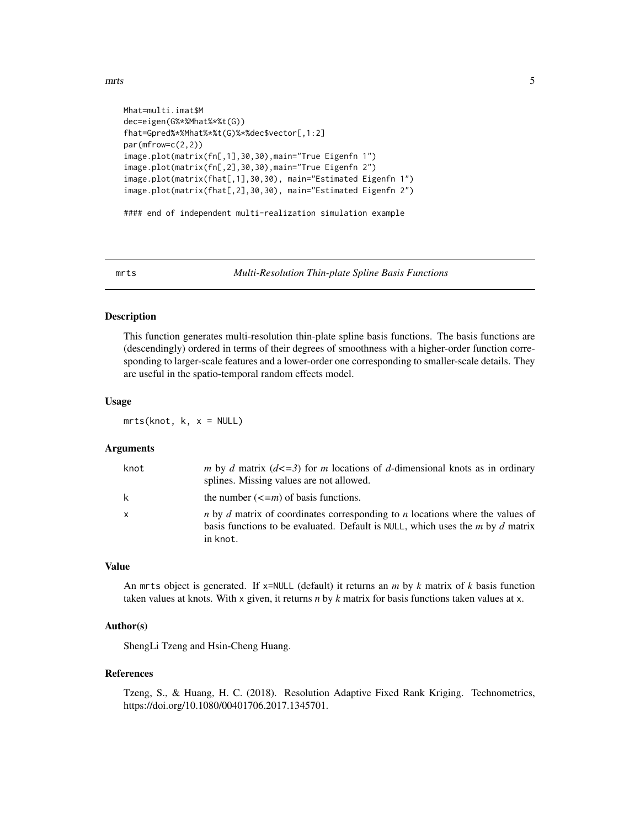```
Mhat=multi.imat$M
dec=eigen(G%*%Mhat%*%t(G))
fhat=Gpred%*%Mhat%*%t(G)%*%dec$vector[,1:2]
par(mfrow=c(2,2))
image.plot(matrix(fn[,1],30,30),main="True Eigenfn 1")
image.plot(matrix(fn[,2],30,30),main="True Eigenfn 2")
image.plot(matrix(fhat[,1],30,30), main="Estimated Eigenfn 1")
image.plot(matrix(fhat[,2],30,30), main="Estimated Eigenfn 2")
#### end of independent multi-realization simulation example
```
<span id="page-4-1"></span>mrts *Multi-Resolution Thin-plate Spline Basis Functions*

#### Description

This function generates multi-resolution thin-plate spline basis functions. The basis functions are (descendingly) ordered in terms of their degrees of smoothness with a higher-order function corresponding to larger-scale features and a lower-order one corresponding to smaller-scale details. They are useful in the spatio-temporal random effects model.

#### Usage

 $mrts(knot, k, x = NULL)$ 

#### Arguments

| knot         | m by d matrix $(d \leq 3)$ for m locations of d-dimensional knots as in ordinary<br>splines. Missing values are not allowed.                                                                            |
|--------------|---------------------------------------------------------------------------------------------------------------------------------------------------------------------------------------------------------|
| k            | the number $\left(\leq m\right)$ of basis functions.                                                                                                                                                    |
| $\mathsf{x}$ | <i>n</i> by <i>d</i> matrix of coordinates corresponding to <i>n</i> locations where the values of<br>basis functions to be evaluated. Default is NULL, which uses the <i>m</i> by d matrix<br>in knot. |

#### Value

An mrts object is generated. If x=NULL (default) it returns an *m* by *k* matrix of *k* basis function taken values at knots. With x given, it returns *n* by *k* matrix for basis functions taken values at x.

#### Author(s)

ShengLi Tzeng and Hsin-Cheng Huang.

#### References

Tzeng, S., & Huang, H. C. (2018). Resolution Adaptive Fixed Rank Kriging. Technometrics, https://doi.org/10.1080/00401706.2017.1345701.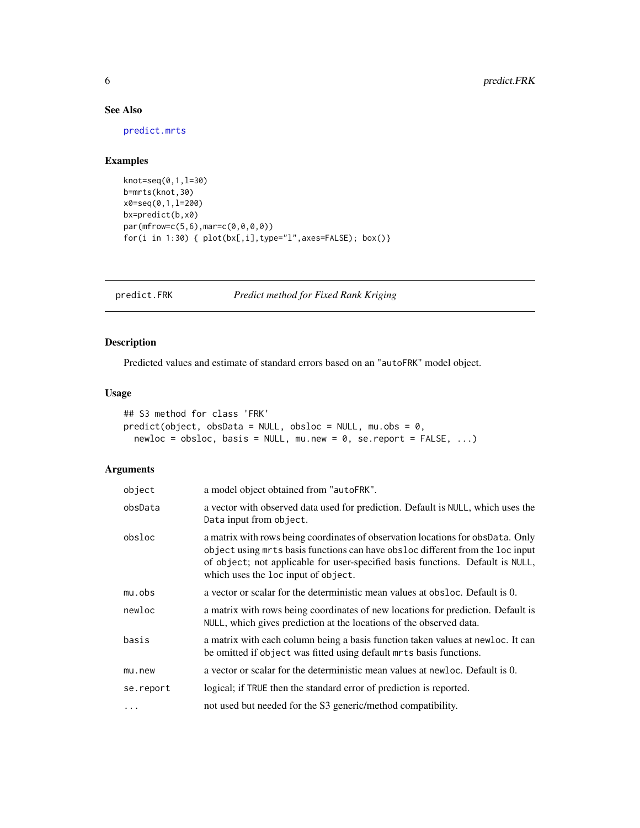#### See Also

[predict.mrts](#page-6-1)

#### Examples

```
knot=seq(0,1,l=30)
b=mrts(knot,30)
x0=seq(0,1,l=200)
bx=predict(b,x0)
par(mfrow=c(5,6),mar=c(0,0,0,0))
for(i in 1:30) { plot(bx[,i],type="l",axes=FALSE); box()}
```
<span id="page-5-1"></span>predict.FRK *Predict method for Fixed Rank Kriging*

#### Description

Predicted values and estimate of standard errors based on an "autoFRK" model object.

#### Usage

```
## S3 method for class 'FRK'
predict(object, obsData = NULL, obsloc = NULL, mu.obs = 0,
 newloc = obsloc, basis = NULL, mu.new = 0, se/report = FALSE, ...)
```
#### Arguments

| object    | a model object obtained from "autoFRK".                                                                                                                                                                                                                                                    |
|-----------|--------------------------------------------------------------------------------------------------------------------------------------------------------------------------------------------------------------------------------------------------------------------------------------------|
| obsData   | a vector with observed data used for prediction. Default is NULL, which uses the<br>Data input from object.                                                                                                                                                                                |
| obsloc    | a matrix with rows being coordinates of observation locations for obsData. Only<br>object using mrts basis functions can have obsloc different from the loc input<br>of object; not applicable for user-specified basis functions. Default is NULL,<br>which uses the loc input of object. |
| mu.obs    | a vector or scalar for the deterministic mean values at obsloc. Default is 0.                                                                                                                                                                                                              |
| newloc    | a matrix with rows being coordinates of new locations for prediction. Default is<br>NULL, which gives prediction at the locations of the observed data.                                                                                                                                    |
| basis     | a matrix with each column being a basis function taken values at newloc. It can<br>be omitted if object was fitted using default mrts basis functions.                                                                                                                                     |
| mu.new    | a vector or scalar for the deterministic mean values at newloc. Default is 0.                                                                                                                                                                                                              |
| se.report | logical; if TRUE then the standard error of prediction is reported.                                                                                                                                                                                                                        |
| $\cdots$  | not used but needed for the S3 generic/method compatibility.                                                                                                                                                                                                                               |

<span id="page-5-0"></span>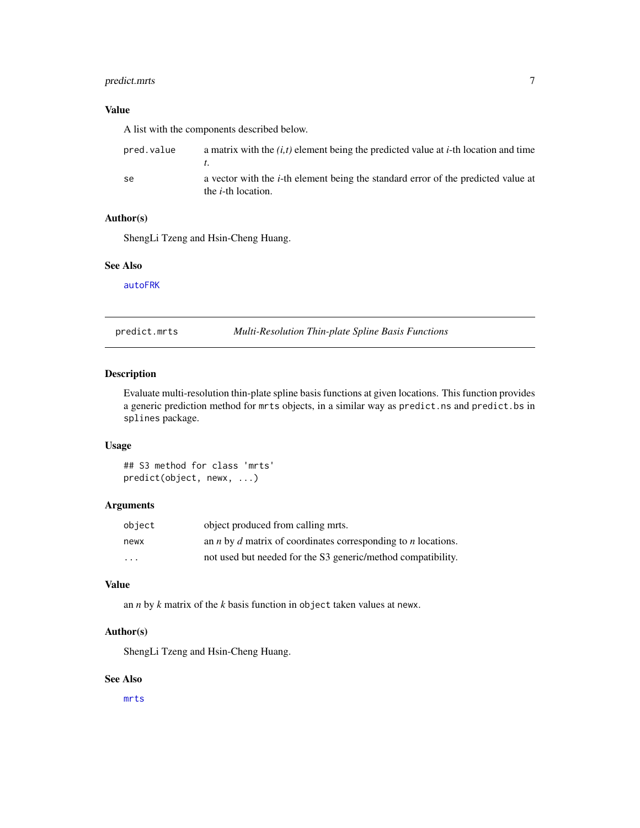#### <span id="page-6-0"></span>predict.mrts 7

#### Value

A list with the components described below.

| pred.value | a matrix with the $(i, t)$ element being the predicted value at <i>i</i> -th location and time                          |
|------------|-------------------------------------------------------------------------------------------------------------------------|
| se         | a vector with the <i>i</i> -th element being the standard error of the predicted value at<br>the <i>i</i> -th location. |

#### Author(s)

ShengLi Tzeng and Hsin-Cheng Huang.

#### See Also

[autoFRK](#page-1-1)

<span id="page-6-1"></span>predict.mrts *Multi-Resolution Thin-plate Spline Basis Functions*

#### Description

Evaluate multi-resolution thin-plate spline basis functions at given locations. This function provides a generic prediction method for mrts objects, in a similar way as predict.ns and predict.bs in splines package.

#### Usage

## S3 method for class 'mrts' predict(object, newx, ...)

#### Arguments

| object                  | object produced from calling mrts.                                                 |
|-------------------------|------------------------------------------------------------------------------------|
| newx                    | an <i>n</i> by <i>d</i> matrix of coordinates corresponding to <i>n</i> locations. |
| $\cdot$ $\cdot$ $\cdot$ | not used but needed for the S3 generic/method compatibility.                       |

#### Value

an *n* by *k* matrix of the *k* basis function in object taken values at newx.

#### Author(s)

ShengLi Tzeng and Hsin-Cheng Huang.

#### See Also

[mrts](#page-4-1)